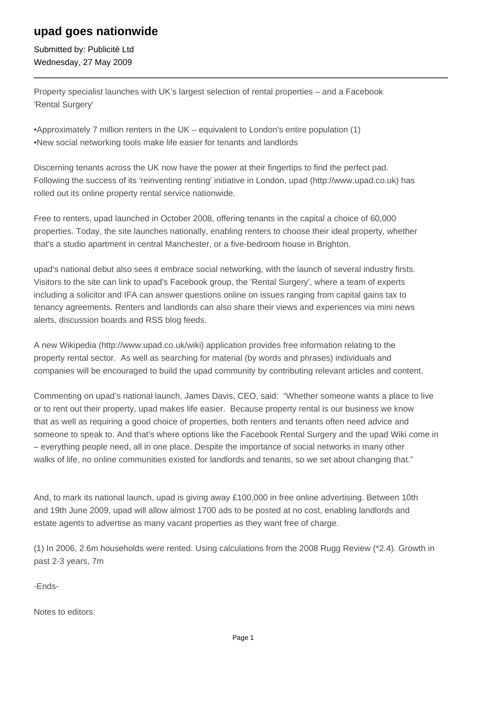## **upad goes nationwide**

Submitted by: Publicité Ltd Wednesday, 27 May 2009

Property specialist launches with UK's largest selection of rental properties – and a Facebook 'Rental Surgery'

- • Approximately 7 million renters in the UK equivalent to London's entire population (1)
- • New social networking tools make life easier for tenants and landlords

Discerning tenants across the UK now have the power at their fingertips to find the perfect pad. Following the success of its 'reinventing renting' initiative in London, upad (http://www.upad.co.uk) has rolled out its online property rental service nationwide.

Free to renters, upad launched in October 2008, offering tenants in the capital a choice of 60,000 properties. Today, the site launches nationally, enabling renters to choose their ideal property, whether that's a studio apartment in central Manchester, or a five-bedroom house in Brighton.

upad's national debut also sees it embrace social networking, with the launch of several industry firsts. Visitors to the site can link to upad's Facebook group, the 'Rental Surgery', where a team of experts including a solicitor and IFA can answer questions online on issues ranging from capital gains tax to tenancy agreements. Renters and landlords can also share their views and experiences via mini news alerts, discussion boards and RSS blog feeds.

A new Wikipedia (http://www.upad.co.uk/wiki) application provides free information relating to the property rental sector. As well as searching for material (by words and phrases) individuals and companies will be encouraged to build the upad community by contributing relevant articles and content.

Commenting on upad's national launch, James Davis, CEO, said: "Whether someone wants a place to live or to rent out their property, upad makes life easier. Because property rental is our business we know that as well as requiring a good choice of properties, both renters and tenants often need advice and someone to speak to. And that's where options like the Facebook Rental Surgery and the upad Wiki come in – everything people need, all in one place. Despite the importance of social networks in many other walks of life, no online communities existed for landlords and tenants, so we set about changing that."

And, to mark its national launch, upad is giving away £100,000 in free online advertising. Between 10th and 19th June 2009, upad will allow almost 1700 ads to be posted at no cost, enabling landlords and estate agents to advertise as many vacant properties as they want free of charge.

(1) In 2006, 2.6m households were rented. Using calculations from the 2008 Rugg Review (\*2.4). Growth in past 2-3 years, 7m

-Ends-

Notes to editors: